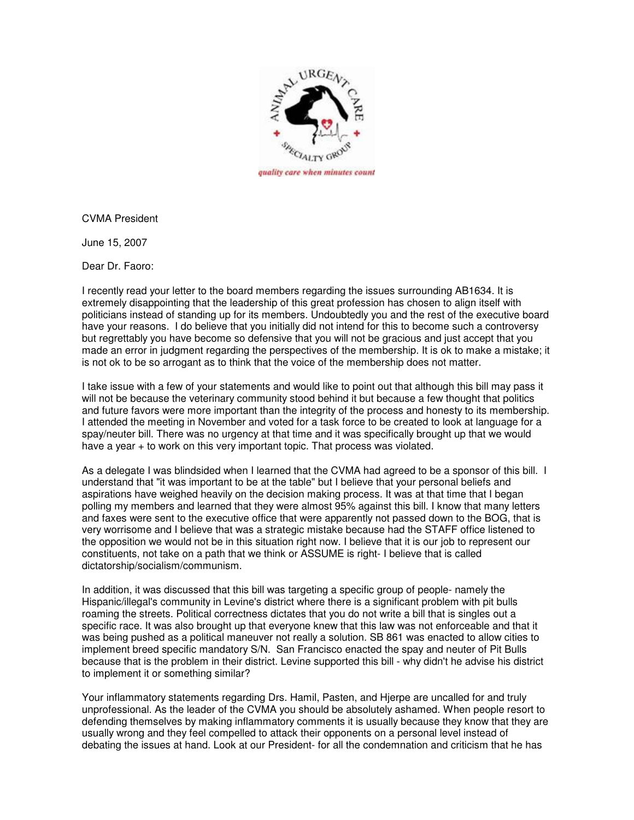

CVMA President

June 15, 2007

Dear Dr. Faoro:

I recently read your letter to the board members regarding the issues surrounding AB1634. It is extremely disappointing that the leadership of this great profession has chosen to align itself with politicians instead of standing up for its members. Undoubtedly you and the rest of the executive board have your reasons. I do believe that you initially did not intend for this to become such a controversy but regrettably you have become so defensive that you will not be gracious and just accept that you made an error in judgment regarding the perspectives of the membership. It is ok to make a mistake; it is not ok to be so arrogant as to think that the voice of the membership does not matter.

I take issue with a few of your statements and would like to point out that although this bill may pass it will not be because the veterinary community stood behind it but because a few thought that politics and future favors were more important than the integrity of the process and honesty to its membership. I attended the meeting in November and voted for a task force to be created to look at language for a spay/neuter bill. There was no urgency at that time and it was specifically brought up that we would have a year + to work on this very important topic. That process was violated.

As a delegate I was blindsided when I learned that the CVMA had agreed to be a sponsor of this bill. I understand that "it was important to be at the table" but I believe that your personal beliefs and aspirations have weighed heavily on the decision making process. It was at that time that I began polling my members and learned that they were almost 95% against this bill. I know that many letters and faxes were sent to the executive office that were apparently not passed down to the BOG, that is very worrisome and I believe that was a strategic mistake because had the STAFF office listened to the opposition we would not be in this situation right now. I believe that it is our job to represent our constituents, not take on a path that we think or ASSUME is right- I believe that is called dictatorship/socialism/communism.

In addition, it was discussed that this bill was targeting a specific group of people- namely the Hispanic/illegal's community in Levine's district where there is a significant problem with pit bulls roaming the streets. Political correctness dictates that you do not write a bill that is singles out a specific race. It was also brought up that everyone knew that this law was not enforceable and that it was being pushed as a political maneuver not really a solution. SB 861 was enacted to allow cities to implement breed specific mandatory S/N. San Francisco enacted the spay and neuter of Pit Bulls because that is the problem in their district. Levine supported this bill - why didn't he advise his district to implement it or something similar?

Your inflammatory statements regarding Drs. Hamil, Pasten, and Hjerpe are uncalled for and truly unprofessional. As the leader of the CVMA you should be absolutely ashamed. When people resort to defending themselves by making inflammatory comments it is usually because they know that they are usually wrong and they feel compelled to attack their opponents on a personal level instead of debating the issues at hand. Look at our President- for all the condemnation and criticism that he has